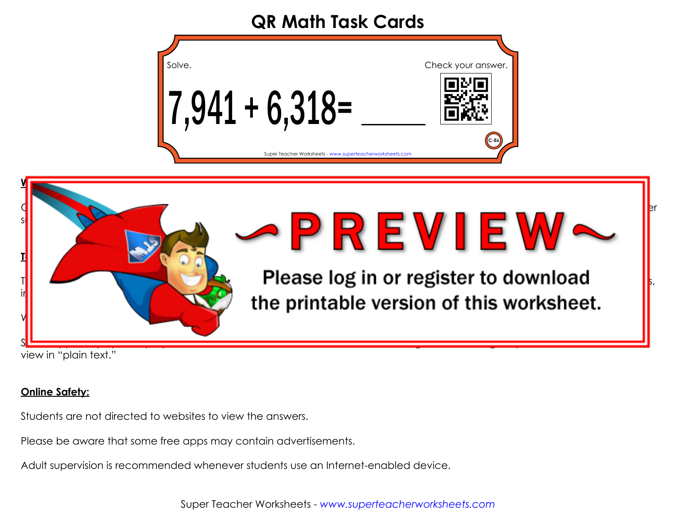#### **QR Math Task Cards**

| Solve.                                                    | Check your answer. |
|-----------------------------------------------------------|--------------------|
| $17.941 + 6,318 =$                                        |                    |
| Super Teacher Worksheets - www.superteacherworksheets.com | C-Ex               |



view in "plain text."

#### **Online Safety:**

Students are not directed to websites to view the answers.

Please be aware that some free apps may contain advertisements.

Adult supervision is recommended whenever students use an Internet-enabled device.

Super Teacher Worksheets - *www.superteacherworksheets.com*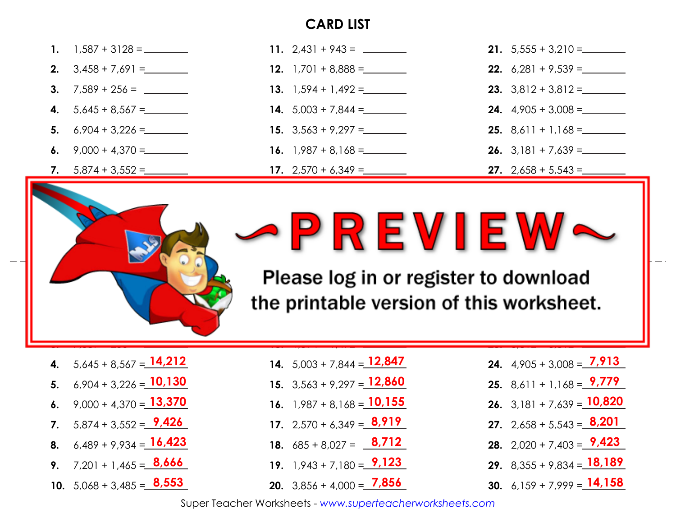#### **CARD LIST**

|                             |                              | <b>21.</b> $5,555 + 3,210 =$ |
|-----------------------------|------------------------------|------------------------------|
| <b>2.</b> $3,458 + 7,691 =$ | <b>12.</b> $1,701 + 8,888 =$ | <b>22.</b> $6,281 + 9,539 =$ |
|                             | <b>13.</b> $1,594 + 1,492 =$ | <b>23.</b> $3,812 + 3,812 =$ |
| <b>4.</b> $5,645 + 8,567 =$ | <b>14.</b> $5,003 + 7,844 =$ | <b>24.</b> $4,905 + 3,008 =$ |
| 5. $6,904 + 3,226 =$        | <b>15.</b> $3,563 + 9,297 =$ | <b>25.</b> 8,611 + 1,168 =   |
|                             | <b>16.</b> $1,987 + 8,168 =$ | <b>26.</b> $3,181 + 7,639 =$ |
| <b>7.</b> $5,874 + 3,552 =$ | 17. $2,570 + 6,349 =$        | <b>27.</b> 2,658 + 5,543 =   |





**e** printable version of this worksheet. Please log in or register to download

**3,086**

- **4.**  $5,645 + 8,567 = 14,212$
- **5.** 6,904 + 3,226 = **10,130**
- **6.** 9,000 + 4,370 =  $13,370$
- **7.**  $5,874 + 3,552 =$  **9,426**
- **8.** 6,489 + 9,934 = **16,423**
- **9.** 7,201 + 1,465 = **8,666**
- **10.**  $5,068 + 3,485 =$  **8,553**

**14.**  $5,003 + 7,844 = 12,847$ 

**13.** 1,594 + 1,492 =

- **15.**  $3,563 + 9,297 = 12,860$
- **16.** 1,987 + 8,168 = **10,155**
- **17.** 2,570 + 6,349 = **8,919**
- **18.**  $685 + 8027 = 8.712$
- **19.**  $1,943 + 7,180 =$  **9,123**
- **20.** 3,856 + 4,000 = **7,856**

**24.**  $4,905 + 3,008 = 7,913$ 

**23.** 3,812 + 3,812 =

**7,624**

- **9,779 25.** 8,611 + 1,168 =
- **26.** 3,181 + 7,639 = <mark>10,820</mark>
- **27.** 2,658 + 5,543 = **8,201**
- **9,423 28.** 2,020 + 7,403 =
- **29.** 8,355 + 9,834 = <mark>18,189</mark>
- **30.** 6,159 + 7,999 = **14,158**

Super Teacher Worksheets - *www.superteacherworksheets.com*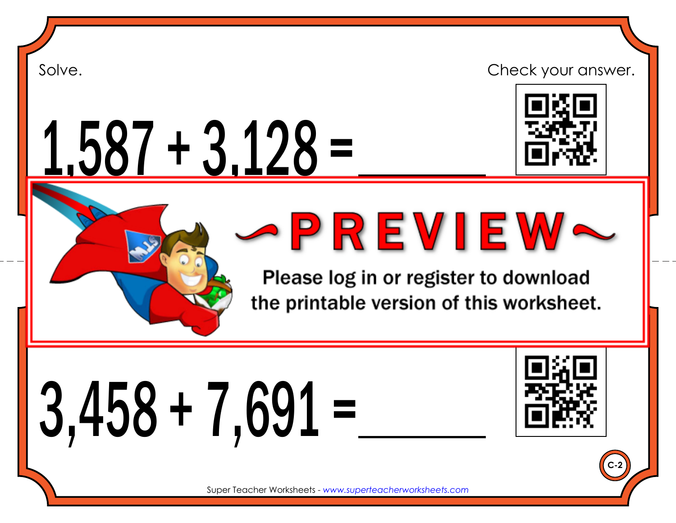#### 1,587 + 3,128 =



Super Teacher Worksheets - *www.superteacherworksheets.com*

Please log in or register to download the printable version of this worksheet.

# 3,458 + 7,691 =



**C-2**

Super Teacher Worksheets - *www.superteacherworksheets.com*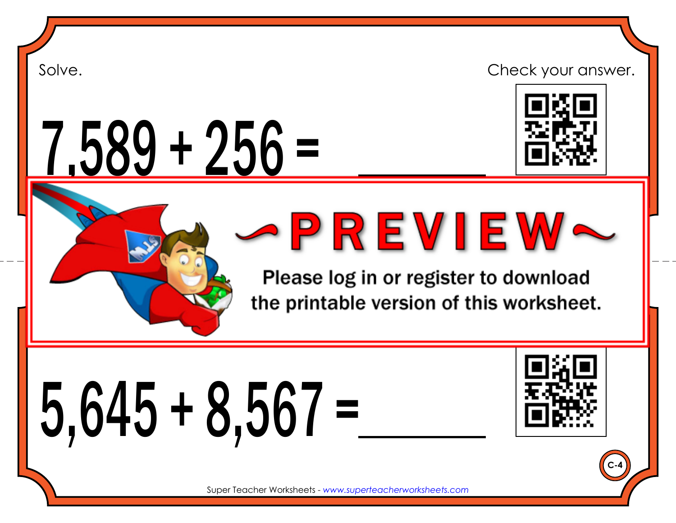7,589 + 256 =



Super Teacher Worksheets - *www.superteacherworksheets.com*

Please log in or register to download the printable version of this worksheet.

5,645 + 8,567 =



**C-4**

Super Teacher Worksheets - *www.superteacherworksheets.com*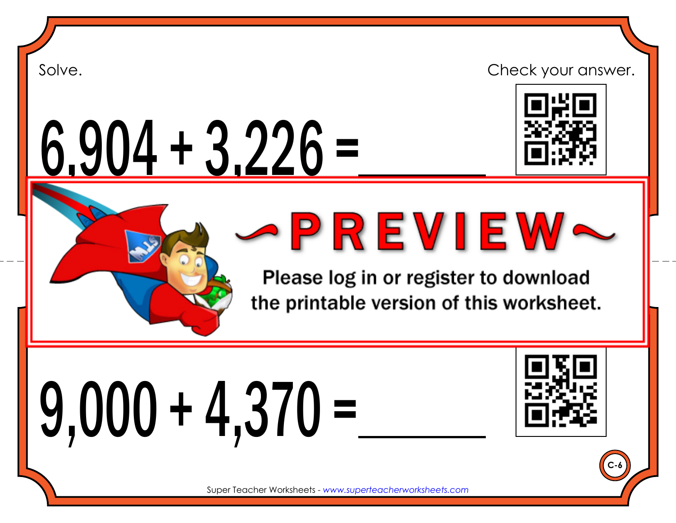6,904 + 3,226 =



Super Teacher Worksheets - *www.superteacherworksheets.com*

Please log in or register to download the printable version of this worksheet.

 $9,000 + 4,370 =$ 

**C-6**

Super Teacher Worksheets - *www.superteacherworksheets.com*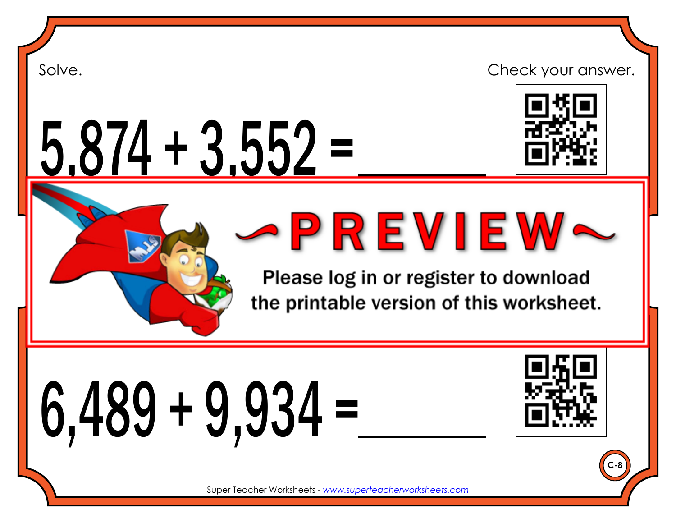## $5.874 + 3.552 =$



Super Teacher Worksheets - *www.superteacherworksheets.com*

Please log in or register to download the printable version of this worksheet.

## 6,489 + 9,934 =



**C-8**

Super Teacher Worksheets - *www.superteacherworksheets.com*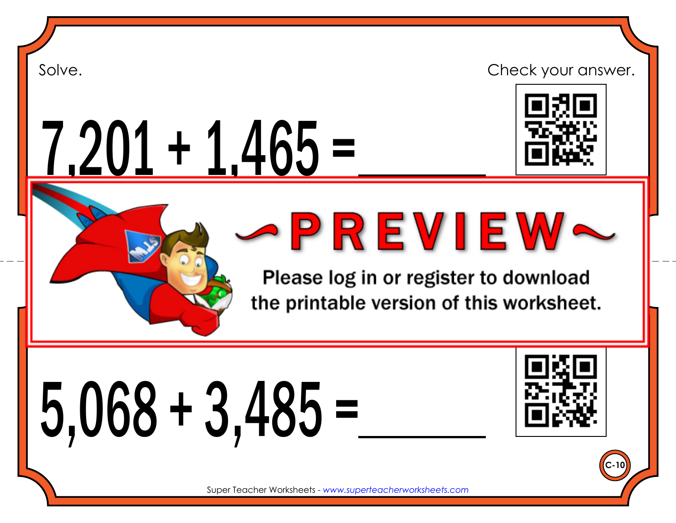## 7,201 + 1,465 =



Super Teacher Worksheets - *www.superteacherworksheets.com*

Please log in or register to download the printable version of this worksheet.

### 5,068 + 3,485 =



**C-10**

Super Teacher Worksheets - *www.superteacherworksheets.com*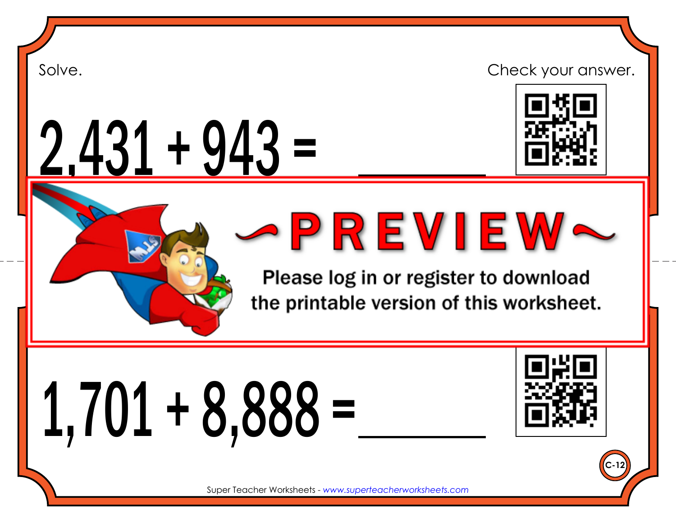$2.431 + 943 =$ 



Super Teacher Worksheets - *www.superteacherworksheets.com*

Please log in or register to download the printable version of this worksheet.

1,701 + 8,888 =



**C-12**

Super Teacher Worksheets - *www.superteacherworksheets.com*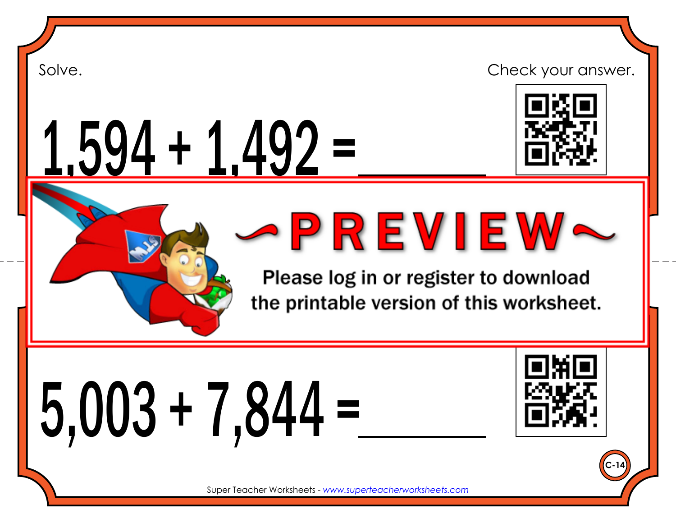## 1,594 + 1,492 =



Super Teacher Worksheets - *www.superteacherworksheets.com*

Please log in or register to download the printable version of this worksheet.

5,003 + 7,844 =



**C-14**

Super Teacher Worksheets - *www.superteacherworksheets.com*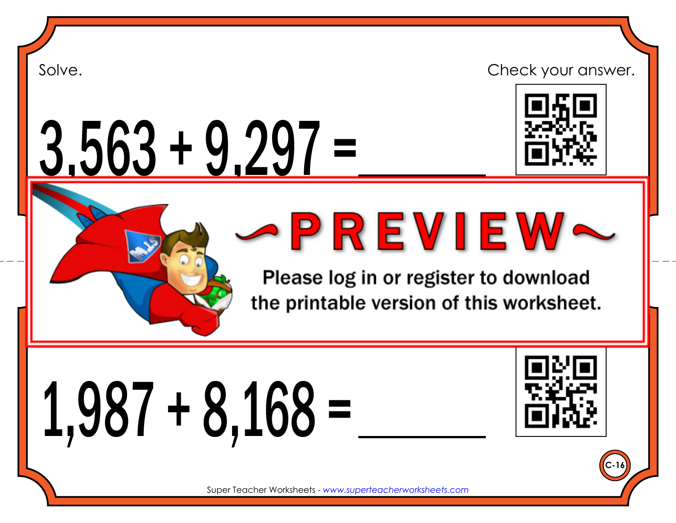3,563 + 9,297 =



Super Teacher Worksheets - *www.superteacherworksheets.com* Please log in or register to download the printable version of this worksheet.

### 1,987 + 8,168 =



**C-16**

Super Teacher Worksheets - *www.superteacherworksheets.com*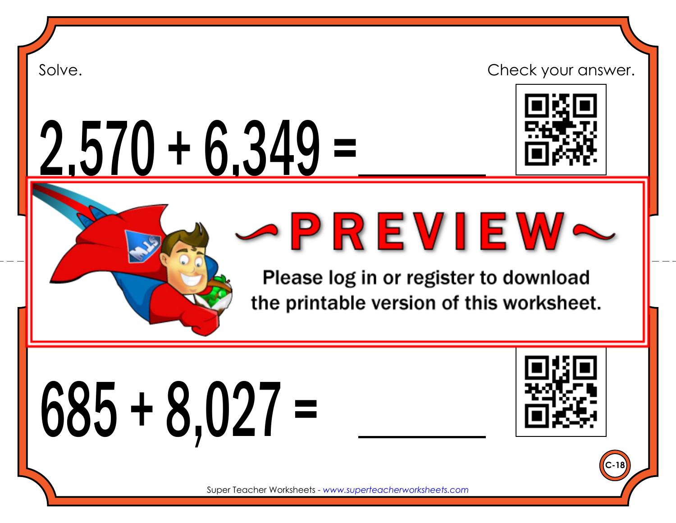

 $2,570 + 6.349 =$ 



Please log in or register to download the printable version of this worksheet.

685 + 8,027 =



**C-18**

Super Teacher Worksheets - *www.superteacherworksheets.com*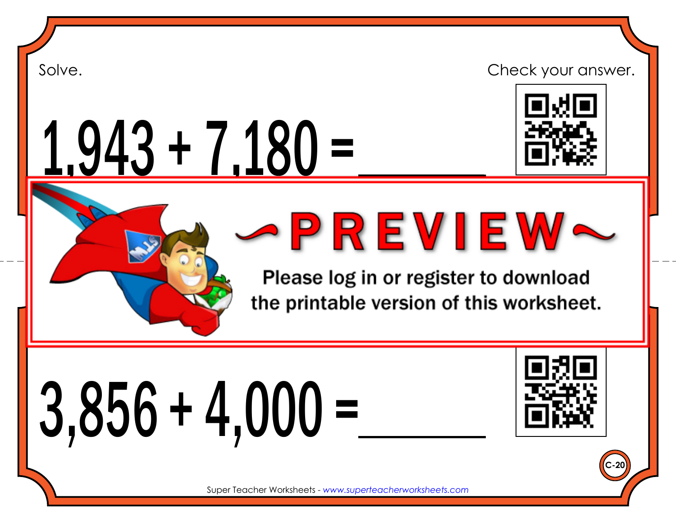1,943 + 7,180 =



Super Teacher Worksheets - *www.superteacherworksheets.com*

Please log in or register to download the printable version of this worksheet.

 $3,856 + 4,000 =$ 



**C-20**

Super Teacher Worksheets - *www.superteacherworksheets.com*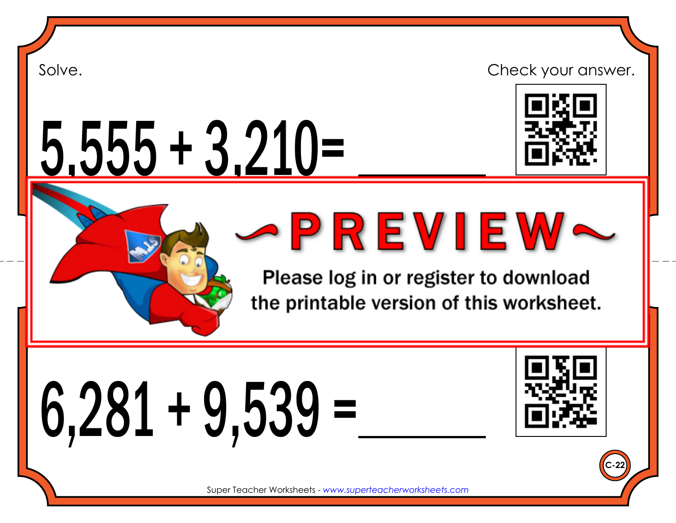5,555 + 3,210=



Super Teacher Worksheets - *www.superteacherworksheets.com*

Please log in or register to download the printable version of this worksheet.

6,281 + 9,539 =



**C-22**

Super Teacher Worksheets - *www.superteacherworksheets.com*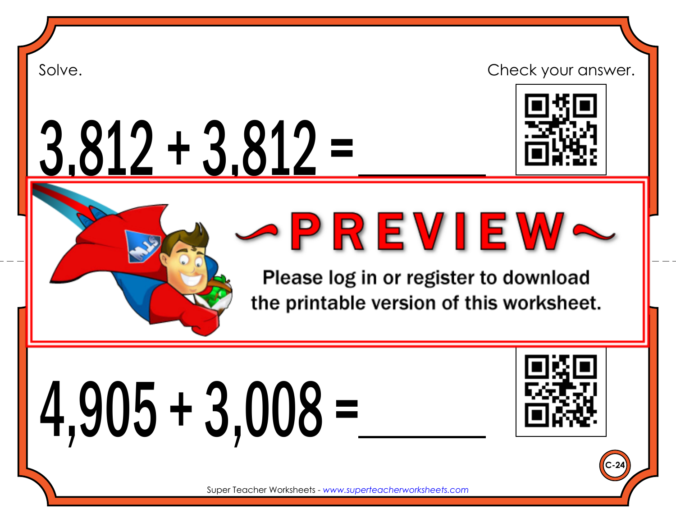3,812 + 3,812 =



Super Teacher Worksheets - *www.superteacherworksheets.com*

Please log in or register to download the printable version of this worksheet.

## 4,905 + 3,008 =



**C-24**

Super Teacher Worksheets - *www.superteacherworksheets.com*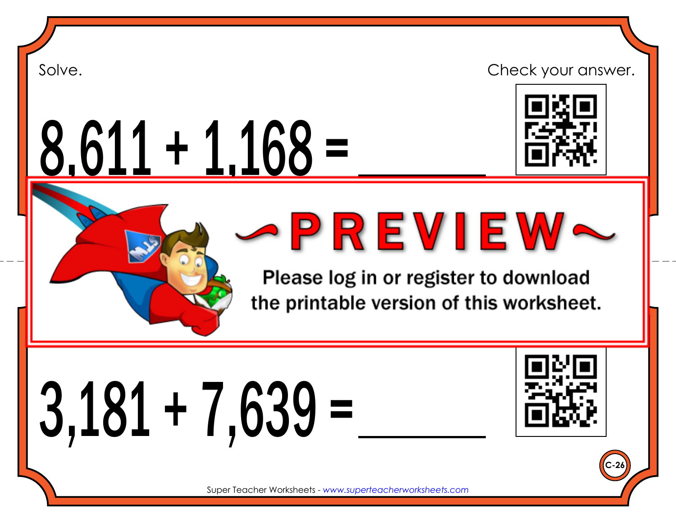8,611 + 1,168 =



Please log in or register to download the printable version of this worksheet.

Super Teacher Worksheets - *www.superteacherworksheets.com*

3,181 + 7,639 =



**C-26**

Super Teacher Worksheets - *www.superteacherworksheets.com*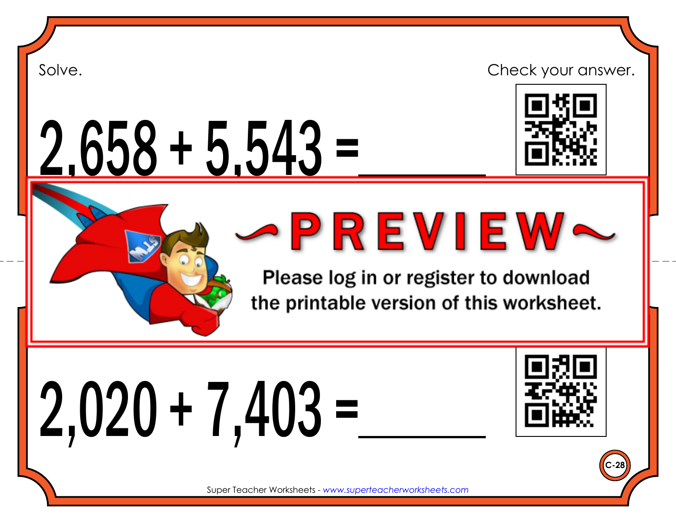$2,658 + 5,543 =$ 



Super Teacher Worksheets - *www.superteacherworksheets.com*

Please log in or register to download the printable version of this worksheet.

2,020 + 7,403 =



**C-28**

Super Teacher Worksheets - *www.superteacherworksheets.com*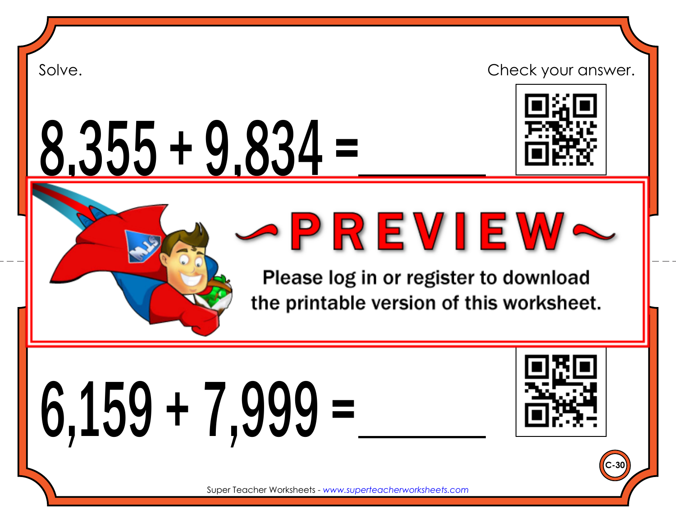## 8,355 + 9,834 =



Super Teacher Worksheets - *www.superteacherworksheets.com*

Please log in or register to download the printable version of this worksheet.

### $6,159 + 7,999 =$



**C-30**

Super Teacher Worksheets - *www.superteacherworksheets.com*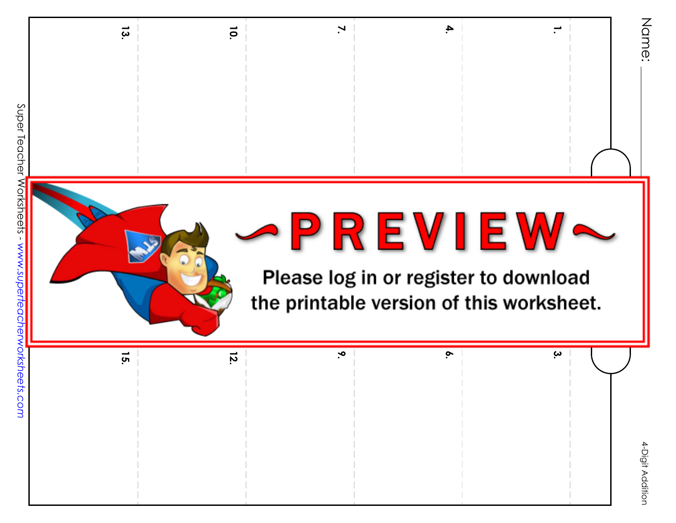